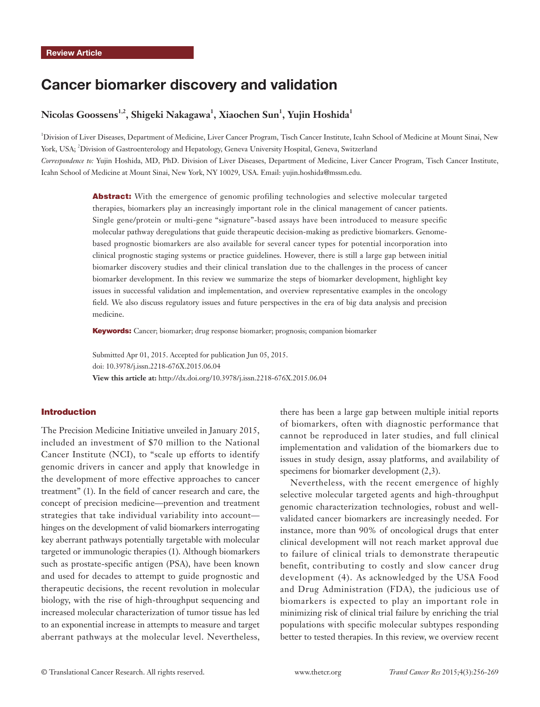# Cancer biomarker discovery and validation

# $\rm{Nicolas \, Goossens^{1,2}, Shigeki \, Nakagawa^{1}, Xiaochen \, Sun^{1}, Yujin \, Hoshida^{1}}$

<sup>1</sup>Division of Liver Diseases, Department of Medicine, Liver Cancer Program, Tisch Cancer Institute, Icahn School of Medicine at Mount Sinai, New York, USA; 2 Division of Gastroenterology and Hepatology, Geneva University Hospital, Geneva, Switzerland *Correspondence to:* Yujin Hoshida, MD, PhD. Division of Liver Diseases, Department of Medicine, Liver Cancer Program, Tisch Cancer Institute, Icahn School of Medicine at Mount Sinai, New York, NY 10029, USA. Email: yujin.hoshida@mssm.edu.

> Abstract: With the emergence of genomic profiling technologies and selective molecular targeted therapies, biomarkers play an increasingly important role in the clinical management of cancer patients. Single gene/protein or multi-gene "signature"-based assays have been introduced to measure specific molecular pathway deregulations that guide therapeutic decision-making as predictive biomarkers. Genomebased prognostic biomarkers are also available for several cancer types for potential incorporation into clinical prognostic staging systems or practice guidelines. However, there is still a large gap between initial biomarker discovery studies and their clinical translation due to the challenges in the process of cancer biomarker development. In this review we summarize the steps of biomarker development, highlight key issues in successful validation and implementation, and overview representative examples in the oncology field. We also discuss regulatory issues and future perspectives in the era of big data analysis and precision medicine.

Keywords: Cancer; biomarker; drug response biomarker; prognosis; companion biomarker

Submitted Apr 01, 2015. Accepted for publication Jun 05, 2015. doi: 10.3978/j.issn.2218-676X.2015.06.04 **View this article at:** http://dx.doi.org/10.3978/j.issn.2218-676X.2015.06.04

### Introduction

The Precision Medicine Initiative unveiled in January 2015, included an investment of \$70 million to the National Cancer Institute (NCI), to "scale up efforts to identify genomic drivers in cancer and apply that knowledge in the development of more effective approaches to cancer treatment" (1). In the field of cancer research and care, the concept of precision medicine—prevention and treatment strategies that take individual variability into account hinges on the development of valid biomarkers interrogating key aberrant pathways potentially targetable with molecular targeted or immunologic therapies (1). Although biomarkers such as prostate-specific antigen (PSA), have been known and used for decades to attempt to guide prognostic and therapeutic decisions, the recent revolution in molecular biology, with the rise of high-throughput sequencing and increased molecular characterization of tumor tissue has led to an exponential increase in attempts to measure and target aberrant pathways at the molecular level. Nevertheless,

there has been a large gap between multiple initial reports of biomarkers, often with diagnostic performance that cannot be reproduced in later studies, and full clinical implementation and validation of the biomarkers due to issues in study design, assay platforms, and availability of specimens for biomarker development  $(2,3)$ .

Nevertheless, with the recent emergence of highly selective molecular targeted agents and high-throughput genomic characterization technologies, robust and wellvalidated cancer biomarkers are increasingly needed. For instance, more than 90% of oncological drugs that enter clinical development will not reach market approval due to failure of clinical trials to demonstrate therapeutic benefit, contributing to costly and slow cancer drug development (4). As acknowledged by the USA Food and Drug Administration (FDA), the judicious use of biomarkers is expected to play an important role in minimizing risk of clinical trial failure by enriching the trial populations with specific molecular subtypes responding better to tested therapies. In this review, we overview recent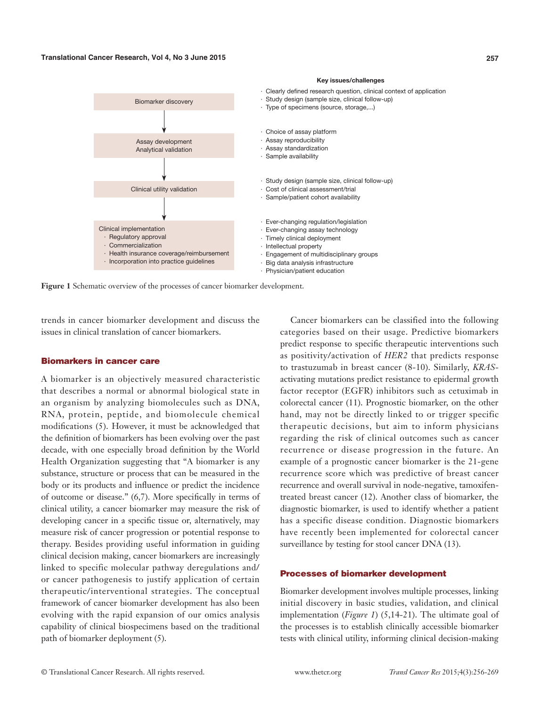

**Figure 1** Schematic overview of the processes of cancer biomarker development.

trends in cancer biomarker development and discuss the issues in clinical translation of cancer biomarkers.

#### Biomarkers in cancer care

A biomarker is an objectively measured characteristic that describes a normal or abnormal biological state in an organism by analyzing biomolecules such as DNA, RNA, protein, peptide, and biomolecule chemical modifications (5). However, it must be acknowledged that the definition of biomarkers has been evolving over the past decade, with one especially broad definition by the World Health Organization suggesting that "A biomarker is any substance, structure or process that can be measured in the body or its products and influence or predict the incidence of outcome or disease." (6,7). More specifically in terms of clinical utility, a cancer biomarker may measure the risk of developing cancer in a specific tissue or, alternatively, may measure risk of cancer progression or potential response to therapy. Besides providing useful information in guiding clinical decision making, cancer biomarkers are increasingly linked to specific molecular pathway deregulations and/ or cancer pathogenesis to justify application of certain therapeutic/interventional strategies. The conceptual framework of cancer biomarker development has also been evolving with the rapid expansion of our omics analysis capability of clinical biospecimens based on the traditional path of biomarker deployment (5).

Cancer biomarkers can be classified into the following categories based on their usage. Predictive biomarkers predict response to specific therapeutic interventions such as positivity/activation of *HER2* that predicts response to trastuzumab in breast cancer (8-10). Similarly, *KRAS*activating mutations predict resistance to epidermal growth factor receptor (EGFR) inhibitors such as cetuximab in colorectal cancer (11). Prognostic biomarker, on the other hand, may not be directly linked to or trigger specific therapeutic decisions, but aim to inform physicians regarding the risk of clinical outcomes such as cancer recurrence or disease progression in the future. An example of a prognostic cancer biomarker is the 21-gene recurrence score which was predictive of breast cancer recurrence and overall survival in node-negative, tamoxifentreated breast cancer (12). Another class of biomarker, the diagnostic biomarker, is used to identify whether a patient has a specific disease condition. Diagnostic biomarkers have recently been implemented for colorectal cancer surveillance by testing for stool cancer DNA (13).

#### Processes of biomarker development

Biomarker development involves multiple processes, linking initial discovery in basic studies, validation, and clinical implementation (*Figure 1*) (5,14-21). The ultimate goal of the processes is to establish clinically accessible biomarker tests with clinical utility, informing clinical decision-making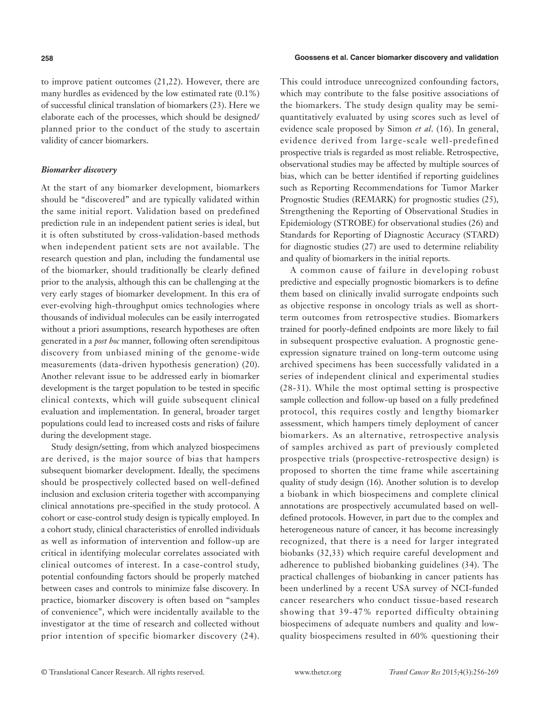to improve patient outcomes (21,22). However, there are many hurdles as evidenced by the low estimated rate (0.1%) of successful clinical translation of biomarkers (23). Here we elaborate each of the processes, which should be designed/ planned prior to the conduct of the study to ascertain validity of cancer biomarkers.

#### *Biomarker discovery*

At the start of any biomarker development, biomarkers should be "discovered" and are typically validated within the same initial report. Validation based on predefined prediction rule in an independent patient series is ideal, but it is often substituted by cross-validation-based methods when independent patient sets are not available. The research question and plan, including the fundamental use of the biomarker, should traditionally be clearly defined prior to the analysis, although this can be challenging at the very early stages of biomarker development. In this era of ever-evolving high-throughput omics technologies where thousands of individual molecules can be easily interrogated without a priori assumptions, research hypotheses are often generated in a *post hoc* manner, following often serendipitous discovery from unbiased mining of the genome-wide measurements (data-driven hypothesis generation) (20). Another relevant issue to be addressed early in biomarker development is the target population to be tested in specific clinical contexts, which will guide subsequent clinical evaluation and implementation. In general, broader target populations could lead to increased costs and risks of failure during the development stage.

Study design/setting, from which analyzed biospecimens are derived, is the major source of bias that hampers subsequent biomarker development. Ideally, the specimens should be prospectively collected based on well-defined inclusion and exclusion criteria together with accompanying clinical annotations pre-specified in the study protocol. A cohort or case-control study design is typically employed. In a cohort study, clinical characteristics of enrolled individuals as well as information of intervention and follow-up are critical in identifying molecular correlates associated with clinical outcomes of interest. In a case-control study, potential confounding factors should be properly matched between cases and controls to minimize false discovery. In practice, biomarker discovery is often based on "samples of convenience", which were incidentally available to the investigator at the time of research and collected without prior intention of specific biomarker discovery (24). This could introduce unrecognized confounding factors, which may contribute to the false positive associations of the biomarkers. The study design quality may be semiquantitatively evaluated by using scores such as level of evidence scale proposed by Simon *et al*. (16). In general, evidence derived from large-scale well-predefined prospective trials is regarded as most reliable. Retrospective, observational studies may be affected by multiple sources of bias, which can be better identified if reporting guidelines such as Reporting Recommendations for Tumor Marker Prognostic Studies (REMARK) for prognostic studies (25), Strengthening the Reporting of Observational Studies in Epidemiology (STROBE) for observational studies (26) and Standards for Reporting of Diagnostic Accuracy (STARD) for diagnostic studies (27) are used to determine reliability and quality of biomarkers in the initial reports.

A common cause of failure in developing robust predictive and especially prognostic biomarkers is to define them based on clinically invalid surrogate endpoints such as objective response in oncology trials as well as shortterm outcomes from retrospective studies. Biomarkers trained for poorly-defined endpoints are more likely to fail in subsequent prospective evaluation. A prognostic geneexpression signature trained on long-term outcome using archived specimens has been successfully validated in a series of independent clinical and experimental studies (28-31). While the most optimal setting is prospective sample collection and follow-up based on a fully predefined protocol, this requires costly and lengthy biomarker assessment, which hampers timely deployment of cancer biomarkers. As an alternative, retrospective analysis of samples archived as part of previously completed prospective trials (prospective-retrospective design) is proposed to shorten the time frame while ascertaining quality of study design (16). Another solution is to develop a biobank in which biospecimens and complete clinical annotations are prospectively accumulated based on welldefined protocols. However, in part due to the complex and heterogeneous nature of cancer, it has become increasingly recognized, that there is a need for larger integrated biobanks (32,33) which require careful development and adherence to published biobanking guidelines (34). The practical challenges of biobanking in cancer patients has been underlined by a recent USA survey of NCI-funded cancer researchers who conduct tissue-based research showing that 39-47% reported difficulty obtaining biospecimens of adequate numbers and quality and lowquality biospecimens resulted in 60% questioning their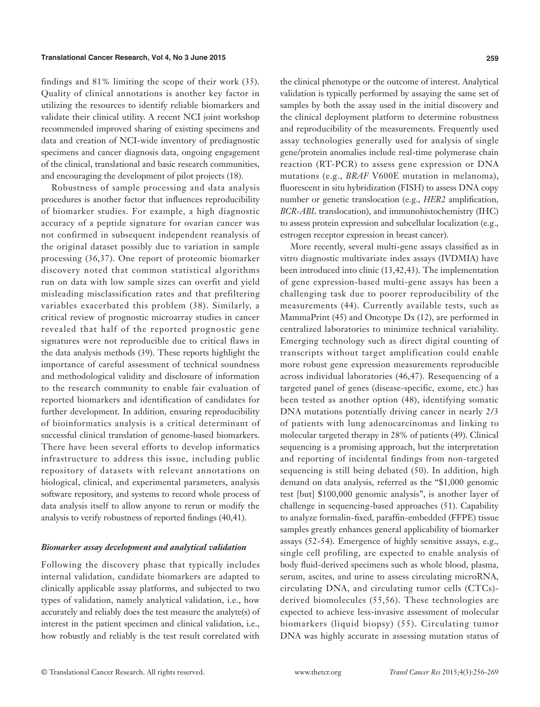findings and 81% limiting the scope of their work (35). Quality of clinical annotations is another key factor in utilizing the resources to identify reliable biomarkers and validate their clinical utility. A recent NCI joint workshop recommended improved sharing of existing specimens and data and creation of NCI-wide inventory of prediagnostic specimens and cancer diagnosis data, ongoing engagement of the clinical, translational and basic research communities, and encouraging the development of pilot projects (18).

Robustness of sample processing and data analysis procedures is another factor that influences reproducibility of biomarker studies. For example, a high diagnostic accuracy of a peptide signature for ovarian cancer was not confirmed in subsequent independent reanalysis of the original dataset possibly due to variation in sample processing (36,37). One report of proteomic biomarker discovery noted that common statistical algorithms run on data with low sample sizes can overfit and yield misleading misclassification rates and that prefiltering variables exacerbated this problem (38). Similarly, a critical review of prognostic microarray studies in cancer revealed that half of the reported prognostic gene signatures were not reproducible due to critical flaws in the data analysis methods (39). These reports highlight the importance of careful assessment of technical soundness and methodological validity and disclosure of information to the research community to enable fair evaluation of reported biomarkers and identification of candidates for further development. In addition, ensuring reproducibility of bioinformatics analysis is a critical determinant of successful clinical translation of genome-based biomarkers. There have been several efforts to develop informatics infrastructure to address this issue, including public repository of datasets with relevant annotations on biological, clinical, and experimental parameters, analysis software repository, and systems to record whole process of data analysis itself to allow anyone to rerun or modify the analysis to verify robustness of reported findings (40,41).

#### *Biomarker assay development and analytical validation*

Following the discovery phase that typically includes internal validation, candidate biomarkers are adapted to clinically applicable assay platforms, and subjected to two types of validation, namely analytical validation, i.e., how accurately and reliably does the test measure the analyte(s) of interest in the patient specimen and clinical validation, i.e., how robustly and reliably is the test result correlated with

the clinical phenotype or the outcome of interest. Analytical validation is typically performed by assaying the same set of samples by both the assay used in the initial discovery and the clinical deployment platform to determine robustness and reproducibility of the measurements. Frequently used assay technologies generally used for analysis of single gene/protein anomalies include real-time polymerase chain reaction (RT-PCR) to assess gene expression or DNA mutations (e.g., *BRAF* V600E mutation in melanoma), fluorescent in situ hybridization (FISH) to assess DNA copy number or genetic translocation (e.g., *HER2* amplification, *BCR*-*ABL* translocation), and immunohistochemistry (IHC) to assess protein expression and subcellular localization (e.g., estrogen receptor expression in breast cancer).

More recently, several multi-gene assays classified as in vitro diagnostic multivariate index assays (IVDMIA) have been introduced into clinic (13,42,43). The implementation of gene expression-based multi-gene assays has been a challenging task due to poorer reproducibility of the measurements (44). Currently available tests, such as MammaPrint (45) and Oncotype Dx (12), are performed in centralized laboratories to minimize technical variability. Emerging technology such as direct digital counting of transcripts without target amplification could enable more robust gene expression measurements reproducible across individual laboratories (46,47). Resequencing of a targeted panel of genes (disease-specific, exome, etc.) has been tested as another option (48), identifying somatic DNA mutations potentially driving cancer in nearly 2/3 of patients with lung adenocarcinomas and linking to molecular targeted therapy in 28% of patients (49). Clinical sequencing is a promising approach, but the interpretation and reporting of incidental findings from non-targeted sequencing is still being debated (50). In addition, high demand on data analysis, referred as the "\$1,000 genomic test [but] \$100,000 genomic analysis", is another layer of challenge in sequencing-based approaches (51). Capability to analyze formalin-fixed, paraffin-embedded (FFPE) tissue samples greatly enhances general applicability of biomarker assays (52-54). Emergence of highly sensitive assays, e.g., single cell profiling, are expected to enable analysis of body fluid-derived specimens such as whole blood, plasma, serum, ascites, and urine to assess circulating microRNA, circulating DNA, and circulating tumor cells (CTCs) derived biomolecules (55,56). These technologies are expected to achieve less-invasive assessment of molecular biomarkers (liquid biopsy) (55). Circulating tumor DNA was highly accurate in assessing mutation status of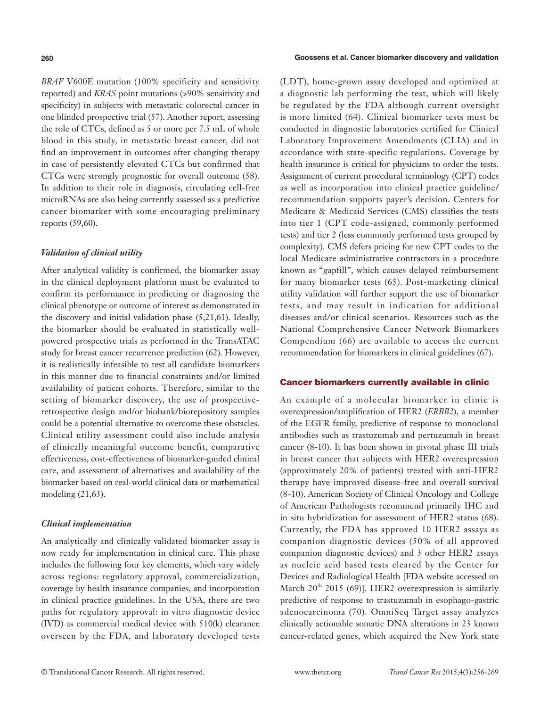*BRAF* V600E mutation (100% specificity and sensitivity reported) and *KRAS* point mutations (>90% sensitivity and specificity) in subjects with metastatic colorectal cancer in one blinded prospective trial (57). Another report, assessing the role of CTCs, defined as 5 or more per 7.5 mL of whole blood in this study, in metastatic breast cancer, did not find an improvement in outcomes after changing therapy in case of persistently elevated CTCs but confirmed that CTCs were strongly prognostic for overall outcome (58). In addition to their role in diagnosis, circulating cell-free microRNAs are also being currently assessed as a predictive cancer biomarker with some encouraging preliminary reports (59,60).

#### *Validation of clinical utility*

After analytical validity is confirmed, the biomarker assay in the clinical deployment platform must be evaluated to confirm its performance in predicting or diagnosing the clinical phenotype or outcome of interest as demonstrated in the discovery and initial validation phase (5,21,61). Ideally, the biomarker should be evaluated in statistically wellpowered prospective trials as performed in the TransATAC study for breast cancer recurrence prediction (62). However, it is realistically infeasible to test all candidate biomarkers in this manner due to financial constraints and/or limited availability of patient cohorts. Therefore, similar to the setting of biomarker discovery, the use of prospectiveretrospective design and/or biobank/biorepository samples could be a potential alternative to overcome these obstacles. Clinical utility assessment could also include analysis of clinically meaningful outcome benefit, comparative effectiveness, cost-effectiveness of biomarker-guided clinical care, and assessment of alternatives and availability of the biomarker based on real-world clinical data or mathematical modeling (21,63).

#### *Clinical implementation*

An analytically and clinically validated biomarker assay is now ready for implementation in clinical care. This phase includes the following four key elements, which vary widely across regions: regulatory approval, commercialization, coverage by health insurance companies, and incorporation in clinical practice guidelines. In the USA, there are two paths for regulatory approval: in vitro diagnostic device (IVD) as commercial medical device with 510(k) clearance overseen by the FDA, and laboratory developed tests

#### **260 Goossens et al. Cancer biomarker discovery and validation**

(LDT), home-grown assay developed and optimized at a diagnostic lab performing the test, which will likely be regulated by the FDA although current oversight is more limited (64). Clinical biomarker tests must be conducted in diagnostic laboratories certified for Clinical Laboratory Improvement Amendments (CLIA) and in accordance with state-specific regulations. Coverage by health insurance is critical for physicians to order the tests. Assignment of current procedural terminology (CPT) codes as well as incorporation into clinical practice guideline/ recommendation supports payer's decision. Centers for Medicare & Medicaid Services (CMS) classifies the tests into tier 1 (CPT code-assigned, commonly performed tests) and tier 2 (less commonly performed tests grouped by complexity). CMS defers pricing for new CPT codes to the local Medicare administrative contractors in a procedure known as "gapfill", which causes delayed reimbursement for many biomarker tests (65). Post-marketing clinical utility validation will further support the use of biomarker tests, and may result in indication for additional diseases and/or clinical scenarios. Resources such as the National Comprehensive Cancer Network Biomarkers Compendium (66) are available to access the current recommendation for biomarkers in clinical guidelines (67).

#### Cancer biomarkers currently available in clinic

An example of a molecular biomarker in clinic is overexpression/amplification of HER2 (*ERBB2*), a member of the EGFR family, predictive of response to monoclonal antibodies such as trastuzumab and pertuzumab in breast cancer (8-10). It has been shown in pivotal phase III trials in breast cancer that subjects with HER2 overexpression (approximately 20% of patients) treated with anti-HER2 therapy have improved disease-free and overall survival (8-10). American Society of Clinical Oncology and College of American Pathologists recommend primarily IHC and in situ hybridization for assessment of HER2 status (68). Currently, the FDA has approved 10 HER2 assays as companion diagnostic devices (50% of all approved companion diagnostic devices) and 3 other HER2 assays as nucleic acid based tests cleared by the Center for Devices and Radiological Health [FDA website accessed on March  $20^{th}$  2015 (69)]. HER2 overexpression is similarly predictive of response to trastuzumab in esophago-gastric adenocarcinoma (70). OmniSeq Target assay analyzes clinically actionable somatic DNA alterations in 23 known cancer-related genes, which acquired the New York state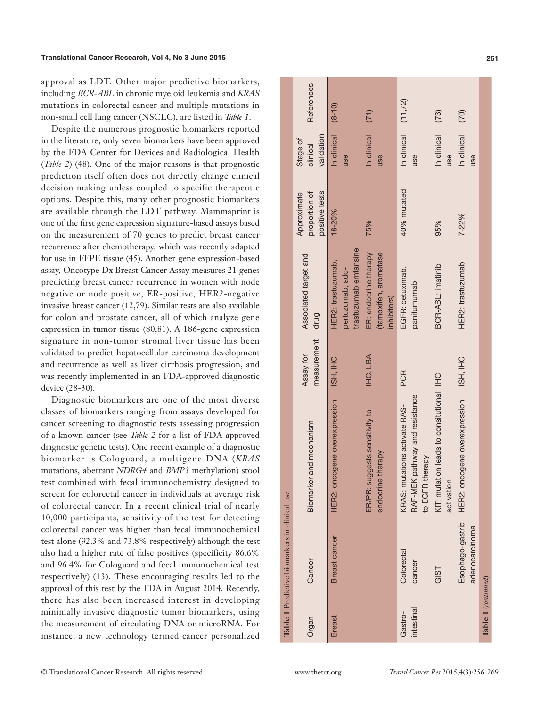approval as LDT. Other major predictive biomarkers, including *BCR-ABL* in chronic myeloid leukemia and *KRAS* mutations in colorectal cancer and multiple mutations in non-small cell lung cancer (NSCLC), are listed in *Table 1*.

Despite the numerous prognostic biomarkers reported in the literature, only seven biomarkers have been approved by the FDA Center for Devices and Radiological Health (*Table 2*) (48). One of the major reasons is that prognostic prediction itself often does not directly change clinical decision making unless coupled to specific therapeutic options. Despite this, many other prognostic biomarkers are available through the LDT pathway. Mammaprint is one of the first gene expression signature-based assays based on the measurement of 70 genes to predict breast cancer recurrence after chemotherapy, which was recently adapted for use in FFPE tissue (45). Another gene expression-based assay, Oncotype Dx Breast Cancer Assay measures 21 genes predicting breast cancer recurrence in women with node negative or node positive, ER-positive, HER2-negative invasive breast cancer (12,79). Similar tests are also available for colon and prostate cancer, all of which analyze gene expression in tumor tissue (80,81). A 186-gene expression signature in non-tumor stromal liver tissue has been validated to predict hepatocellular carcinoma development and recurrence as well as liver cirrhosis progression, and was recently implemented in an FDA-approved diagnostic device (28-30).

Diagnostic biomarkers are one of the most diverse classes of biomarkers ranging from assays developed for cancer screening to diagnostic tests assessing progression of a known cancer (see *Table 2* for a list of FDA-approved diagnostic genetic tests). One recent example of a diagnostic biomarker is Cologuard, a multigene DNA (*KRAS* mutations, aberrant *NDRG4* and *BMP3* methylation) stool test combined with fecal immunochemistry designed to screen for colorectal cancer in individuals at average risk of colorectal cancer. In a recent clinical trial of nearly 10,000 participants, sensitivity of the test for detecting colorectal cancer was higher than fecal immunochemical test alone (92.3% and 73.8% respectively) although the test also had a higher rate of false positives (specificity 86.6% and 96.4% for Cologuard and fecal immunochemical test respectively) (13). These encouraging results led to the approval of this test by the FDA in August 2014. Recently, there has also been increased interest in developing minimally invasive diagnostic tumor biomarkers, using the measurement of circulating DNA or microRNA. For instance, a new technology termed cancer personalized

|                       | Table 1 Predictive biomarkers in clinical use |                                                                                    |                          |                                                                 |                                                |                                    |                   |
|-----------------------|-----------------------------------------------|------------------------------------------------------------------------------------|--------------------------|-----------------------------------------------------------------|------------------------------------------------|------------------------------------|-------------------|
| Organ                 | Cancer                                        | and mechanism<br>Biomarker                                                         | measurement<br>Assay for | Associated target and<br>drug                                   | positive tests<br>proportion of<br>Approximate | validation<br>Stage of<br>clinical | <b>References</b> |
| <b>Breast</b>         | <b>Breast cancer</b>                          | HER2: oncogene overexpression                                                      | ISH, IHC                 | trastuzumab emtansine<br>HER2: trastuzumab,<br>pertuzumab, ado- | 18-20%                                         | In clinical<br>use                 | $(8-10)$          |
|                       |                                               | ER/PR: suggests sensitivity to<br>endocrine therapy                                | IHC, LBA                 | ER: endocrine therapy<br>(tamoxifen, aromatase<br>inhibitors)   | 75%                                            | In clinical<br>use                 | (71)              |
| intestinal<br>Gastro- | Colorectal<br>cancer                          | RAF-MEK pathway and resistance<br>KRAS: mutations activate RAS-<br>to EGFR therapy | <b>PCR</b>               | EGFR: cetuximab,<br>panitumumab                                 | 40% mutated                                    | In clinical<br>use                 | (11, 72)          |
|                       | GIST                                          | KIT: mutation leads to consitutional IHC<br>activation                             |                          | BCR-ABL: imatinib                                               | 95%                                            | In clinical<br>use                 | (73)              |
|                       | adenocarcinoma                                | Esophago-gastric HER2: oncogene overexpression                                     | ISH, IHC                 | HER2: trastuzumab                                               | $7 - 22%$                                      | In clinical<br>use                 | (70)              |
| Table 1 (continued)   |                                               |                                                                                    |                          |                                                                 |                                                |                                    |                   |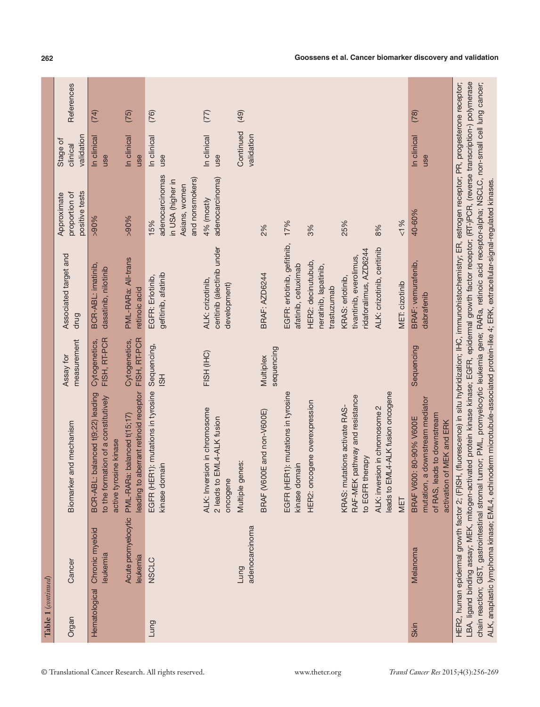|                      |                                 |                                                                                                                        |                               | drug                                                                  | positive tests                                                                  | validation              |      |
|----------------------|---------------------------------|------------------------------------------------------------------------------------------------------------------------|-------------------------------|-----------------------------------------------------------------------|---------------------------------------------------------------------------------|-------------------------|------|
| <b>Hematological</b> | Chronic myeloid<br>leukemia     | BCR-ABL: balanced t(9;22) leading<br>to the formation of a constitutively<br>active tyrosine kinase                    | FISH, RT-PCR<br>Cytogenetics, | BCR-ABL: imatinib,<br>dasatinib, nilotinib                            | >90%                                                                            | In clinical<br>use      | (74) |
|                      | Acute promyelocytic<br>leukemia | leading to aberrant retinoid receptor<br>PML-RARa: balanced t(15;17)                                                   | FISH, RT-PCR<br>Cytogenetics, | PML-RARa: All-trans<br>retinoic acid                                  | >90%                                                                            | In clinical<br>use      | (75) |
| Lung                 | <b>NSCLC</b>                    | EGFR (HER1): mutations in tyrosine<br>kinase domain                                                                    | Sequencing,<br>$\overline{5}$ | gefitinib, afatinib<br>EGFR: Erlotinib,                               | adenocarcinomas<br>and nonsmokers)<br>in USA (higher in<br>Asians, women<br>15% | In clinical<br>use      | (76) |
|                      |                                 | ALK: Inversion in chromosome<br>2 leads to EML4-ALK fusion<br>oncogene                                                 | FISH (IHC)                    | ceritinib (alectinib under<br>ALK: crizotinib,<br>development)        | adenocarcinoma)<br>4% (mostly                                                   | In clinical<br>use      | (77) |
|                      | adenocarcinoma<br>Lung          | Multiple genes:                                                                                                        |                               |                                                                       |                                                                                 | Continued<br>validation | (49) |
|                      |                                 | BRAF (V600E and non-V600E)                                                                                             | sequencing<br>Multiplex       | BRAF: AZD6244                                                         | 2%                                                                              |                         |      |
|                      |                                 | EGFR (HER1): mutations in tyrosine<br>kinase domain                                                                    |                               | EGFR: erlotinib, gefitinib,<br>afatinib, cetuximab                    | 17%                                                                             |                         |      |
|                      |                                 | HER2: oncogene overexpression                                                                                          |                               | HER2: decinutubub,<br>neratinib, lapatinib,<br>trastuzumab            | 3%                                                                              |                         |      |
|                      |                                 | RAF-MEK pathway and resistance<br>KRAS: mutations activate RAS-<br>to EGFR therapy                                     |                               | ridaforalimus, AZD6244<br>tivantinib, everolimus,<br>KRAS: erlotinib, | 25%                                                                             |                         |      |
|                      |                                 | leads to EML4-ALK fusion oncogene<br>ALK: inversion in chromosome 2                                                    |                               | ALK: crizotinib, ceritinib                                            | 8%                                                                              |                         |      |
|                      |                                 | MET                                                                                                                    |                               | MET: cizotinib                                                        | & 1%                                                                            |                         |      |
| <b>Skin</b>          | Melanoma                        | mutation, a downstream mediator<br>of RAS, leads to downstream<br>BRAF V600: 80-90% V600E<br>activation of MEK and ERK | Sequencing                    | BRAF: vemurafenib,<br>dabrafenib                                      | 40-60%                                                                          | In clinical<br>use      | (78) |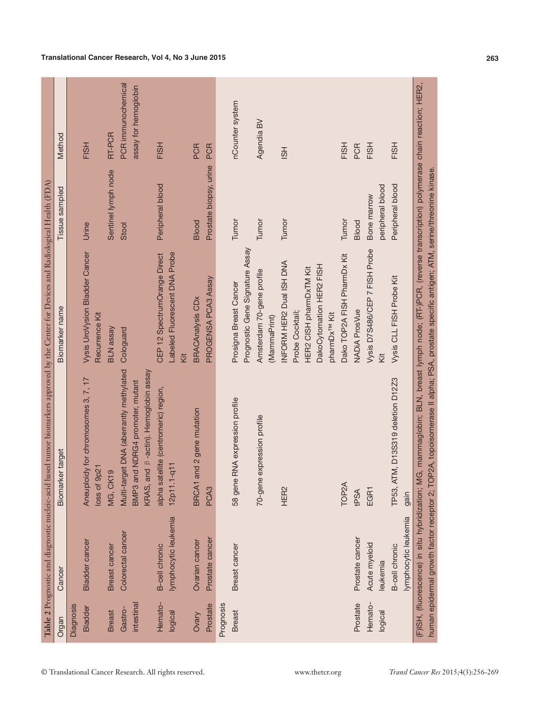| MG, mammaglobin; BLN, breast lymph node; (RT-)PCR, (reverse transcription) polymerase chain reaction; HER2,<br>nCounter system<br>Agendia BV<br>RT-PCR<br>FISH<br>FISH<br>FISH<br>FISH<br>FISH<br>PCR<br>PCR<br><b>PCR</b><br>$\overline{5}$<br>Prostate biopsy, urine<br>TOP2A, topoisomerase II alpha; PSA, prostate specific antigen; ATM, serine/threonine kinase<br>Sentinel lymph node<br>Peripheral blood<br>Peripheral blood<br>peripheral blood<br>Bone marrow<br>Tumor<br>Tumor<br>Tumor<br>Tumor<br><b>Blood</b><br>Blood<br>Urine<br>Stool<br>Prognostic Gene Signature Assay<br>Vysis D7S486/CEP 7 FISH Probe<br><b>Vysis UroVysion Bladder Cancer</b><br>Labeled Fluorescent DNA Probe<br>CEP 12 SpectrumOrange Direct<br>Dako TOP2A FISH PharmDx Kit<br>INFORM HER2 Dual ISH DNA<br>DakoCytomation HER2 FISH<br>HER2 CISH pharmDxTM Kit<br>Amsterdam 70-gene profile<br>Vysis CLL FISH Probe Kit<br>PROGENSA PCA3 Assay<br>Prosigna Breast Cancer<br><b>BRACAnalysis CDx</b><br><b>NADiA ProsVue</b><br>Probe Cocktail;<br>pharmDx <sup>TM</sup> Kit<br>Recurrence Kit<br>(MammaPrint)<br><b>BLN</b> assay<br>Cologuard<br>kit<br>Κi<br>Multi-target DNA (aberrantly methylated<br>and B-actin). Hemoglobin assay<br>7, 17<br>ATM, D13S319 deletion D12Z3<br>BMP3 and NDRG4 promoter, mutant<br>alpha satellite (centromeric) region,<br>Aneuploidy for chromosomes 3,<br>58 gene RNA expression profile<br>and 2 gene mutation<br>70-gene expression profile<br>12p11.1-q11<br>9p21<br><b>MG, CK19</b><br>BRCA1<br><b>TOP2A</b><br>loss of<br>KRAS,<br>(F)ISH, (fluorescence) in situ hybridization;<br>PCA <sub>3</sub><br>HER2<br>TP53,<br>EGR1<br>human epidermal growth factor receptor 2;<br>tPSA<br>gain<br>lymphocytic leukemia<br>lymphocytic leukemia<br>Colorectal cancer<br>Prostate cancer<br>Prostate cancer<br><b>Bladder cancer</b><br>Ovarian cancer<br>Acute myeloid<br><b>B-cell chronic</b><br><b>B-cell chronic</b><br><b>Breast cancer</b><br><b>Breast cancer</b><br>leukemia<br>Hemato-<br>Prostate<br>intestina<br>Prostate<br>Prognosis<br>Hemato-<br>Diagnosis<br><b>Bladder</b><br>Gastro-<br><b>Breast</b><br>logical<br><b>Breast</b><br>logical<br><b>Ovary</b> | Organ | Cancer | ker target<br>Biomar | Biomarker name | Tissue sampled | Method                                     |
|---------------------------------------------------------------------------------------------------------------------------------------------------------------------------------------------------------------------------------------------------------------------------------------------------------------------------------------------------------------------------------------------------------------------------------------------------------------------------------------------------------------------------------------------------------------------------------------------------------------------------------------------------------------------------------------------------------------------------------------------------------------------------------------------------------------------------------------------------------------------------------------------------------------------------------------------------------------------------------------------------------------------------------------------------------------------------------------------------------------------------------------------------------------------------------------------------------------------------------------------------------------------------------------------------------------------------------------------------------------------------------------------------------------------------------------------------------------------------------------------------------------------------------------------------------------------------------------------------------------------------------------------------------------------------------------------------------------------------------------------------------------------------------------------------------------------------------------------------------------------------------------------------------------------------------------------------------------------------------------------------------------------------------------------------------------------------------------------------------------------------------------------------------------------------------------------------------------|-------|--------|----------------------|----------------|----------------|--------------------------------------------|
|                                                                                                                                                                                                                                                                                                                                                                                                                                                                                                                                                                                                                                                                                                                                                                                                                                                                                                                                                                                                                                                                                                                                                                                                                                                                                                                                                                                                                                                                                                                                                                                                                                                                                                                                                                                                                                                                                                                                                                                                                                                                                                                                                                                                               |       |        |                      |                |                |                                            |
|                                                                                                                                                                                                                                                                                                                                                                                                                                                                                                                                                                                                                                                                                                                                                                                                                                                                                                                                                                                                                                                                                                                                                                                                                                                                                                                                                                                                                                                                                                                                                                                                                                                                                                                                                                                                                                                                                                                                                                                                                                                                                                                                                                                                               |       |        |                      |                |                |                                            |
|                                                                                                                                                                                                                                                                                                                                                                                                                                                                                                                                                                                                                                                                                                                                                                                                                                                                                                                                                                                                                                                                                                                                                                                                                                                                                                                                                                                                                                                                                                                                                                                                                                                                                                                                                                                                                                                                                                                                                                                                                                                                                                                                                                                                               |       |        |                      |                |                |                                            |
|                                                                                                                                                                                                                                                                                                                                                                                                                                                                                                                                                                                                                                                                                                                                                                                                                                                                                                                                                                                                                                                                                                                                                                                                                                                                                                                                                                                                                                                                                                                                                                                                                                                                                                                                                                                                                                                                                                                                                                                                                                                                                                                                                                                                               |       |        |                      |                |                | PCR immunochemical<br>assay for hemoglobin |
|                                                                                                                                                                                                                                                                                                                                                                                                                                                                                                                                                                                                                                                                                                                                                                                                                                                                                                                                                                                                                                                                                                                                                                                                                                                                                                                                                                                                                                                                                                                                                                                                                                                                                                                                                                                                                                                                                                                                                                                                                                                                                                                                                                                                               |       |        |                      |                |                |                                            |
|                                                                                                                                                                                                                                                                                                                                                                                                                                                                                                                                                                                                                                                                                                                                                                                                                                                                                                                                                                                                                                                                                                                                                                                                                                                                                                                                                                                                                                                                                                                                                                                                                                                                                                                                                                                                                                                                                                                                                                                                                                                                                                                                                                                                               |       |        |                      |                |                |                                            |
|                                                                                                                                                                                                                                                                                                                                                                                                                                                                                                                                                                                                                                                                                                                                                                                                                                                                                                                                                                                                                                                                                                                                                                                                                                                                                                                                                                                                                                                                                                                                                                                                                                                                                                                                                                                                                                                                                                                                                                                                                                                                                                                                                                                                               |       |        |                      |                |                |                                            |
|                                                                                                                                                                                                                                                                                                                                                                                                                                                                                                                                                                                                                                                                                                                                                                                                                                                                                                                                                                                                                                                                                                                                                                                                                                                                                                                                                                                                                                                                                                                                                                                                                                                                                                                                                                                                                                                                                                                                                                                                                                                                                                                                                                                                               |       |        |                      |                |                |                                            |
|                                                                                                                                                                                                                                                                                                                                                                                                                                                                                                                                                                                                                                                                                                                                                                                                                                                                                                                                                                                                                                                                                                                                                                                                                                                                                                                                                                                                                                                                                                                                                                                                                                                                                                                                                                                                                                                                                                                                                                                                                                                                                                                                                                                                               |       |        |                      |                |                |                                            |
|                                                                                                                                                                                                                                                                                                                                                                                                                                                                                                                                                                                                                                                                                                                                                                                                                                                                                                                                                                                                                                                                                                                                                                                                                                                                                                                                                                                                                                                                                                                                                                                                                                                                                                                                                                                                                                                                                                                                                                                                                                                                                                                                                                                                               |       |        |                      |                |                |                                            |
|                                                                                                                                                                                                                                                                                                                                                                                                                                                                                                                                                                                                                                                                                                                                                                                                                                                                                                                                                                                                                                                                                                                                                                                                                                                                                                                                                                                                                                                                                                                                                                                                                                                                                                                                                                                                                                                                                                                                                                                                                                                                                                                                                                                                               |       |        |                      |                |                |                                            |
|                                                                                                                                                                                                                                                                                                                                                                                                                                                                                                                                                                                                                                                                                                                                                                                                                                                                                                                                                                                                                                                                                                                                                                                                                                                                                                                                                                                                                                                                                                                                                                                                                                                                                                                                                                                                                                                                                                                                                                                                                                                                                                                                                                                                               |       |        |                      |                |                |                                            |
|                                                                                                                                                                                                                                                                                                                                                                                                                                                                                                                                                                                                                                                                                                                                                                                                                                                                                                                                                                                                                                                                                                                                                                                                                                                                                                                                                                                                                                                                                                                                                                                                                                                                                                                                                                                                                                                                                                                                                                                                                                                                                                                                                                                                               |       |        |                      |                |                |                                            |
|                                                                                                                                                                                                                                                                                                                                                                                                                                                                                                                                                                                                                                                                                                                                                                                                                                                                                                                                                                                                                                                                                                                                                                                                                                                                                                                                                                                                                                                                                                                                                                                                                                                                                                                                                                                                                                                                                                                                                                                                                                                                                                                                                                                                               |       |        |                      |                |                |                                            |
|                                                                                                                                                                                                                                                                                                                                                                                                                                                                                                                                                                                                                                                                                                                                                                                                                                                                                                                                                                                                                                                                                                                                                                                                                                                                                                                                                                                                                                                                                                                                                                                                                                                                                                                                                                                                                                                                                                                                                                                                                                                                                                                                                                                                               |       |        |                      |                |                |                                            |
|                                                                                                                                                                                                                                                                                                                                                                                                                                                                                                                                                                                                                                                                                                                                                                                                                                                                                                                                                                                                                                                                                                                                                                                                                                                                                                                                                                                                                                                                                                                                                                                                                                                                                                                                                                                                                                                                                                                                                                                                                                                                                                                                                                                                               |       |        |                      |                |                |                                            |
|                                                                                                                                                                                                                                                                                                                                                                                                                                                                                                                                                                                                                                                                                                                                                                                                                                                                                                                                                                                                                                                                                                                                                                                                                                                                                                                                                                                                                                                                                                                                                                                                                                                                                                                                                                                                                                                                                                                                                                                                                                                                                                                                                                                                               |       |        |                      |                |                |                                            |
|                                                                                                                                                                                                                                                                                                                                                                                                                                                                                                                                                                                                                                                                                                                                                                                                                                                                                                                                                                                                                                                                                                                                                                                                                                                                                                                                                                                                                                                                                                                                                                                                                                                                                                                                                                                                                                                                                                                                                                                                                                                                                                                                                                                                               |       |        |                      |                |                |                                            |
|                                                                                                                                                                                                                                                                                                                                                                                                                                                                                                                                                                                                                                                                                                                                                                                                                                                                                                                                                                                                                                                                                                                                                                                                                                                                                                                                                                                                                                                                                                                                                                                                                                                                                                                                                                                                                                                                                                                                                                                                                                                                                                                                                                                                               |       |        |                      |                |                |                                            |
|                                                                                                                                                                                                                                                                                                                                                                                                                                                                                                                                                                                                                                                                                                                                                                                                                                                                                                                                                                                                                                                                                                                                                                                                                                                                                                                                                                                                                                                                                                                                                                                                                                                                                                                                                                                                                                                                                                                                                                                                                                                                                                                                                                                                               |       |        |                      |                |                |                                            |
|                                                                                                                                                                                                                                                                                                                                                                                                                                                                                                                                                                                                                                                                                                                                                                                                                                                                                                                                                                                                                                                                                                                                                                                                                                                                                                                                                                                                                                                                                                                                                                                                                                                                                                                                                                                                                                                                                                                                                                                                                                                                                                                                                                                                               |       |        |                      |                |                |                                            |
|                                                                                                                                                                                                                                                                                                                                                                                                                                                                                                                                                                                                                                                                                                                                                                                                                                                                                                                                                                                                                                                                                                                                                                                                                                                                                                                                                                                                                                                                                                                                                                                                                                                                                                                                                                                                                                                                                                                                                                                                                                                                                                                                                                                                               |       |        |                      |                |                |                                            |
|                                                                                                                                                                                                                                                                                                                                                                                                                                                                                                                                                                                                                                                                                                                                                                                                                                                                                                                                                                                                                                                                                                                                                                                                                                                                                                                                                                                                                                                                                                                                                                                                                                                                                                                                                                                                                                                                                                                                                                                                                                                                                                                                                                                                               |       |        |                      |                |                |                                            |
|                                                                                                                                                                                                                                                                                                                                                                                                                                                                                                                                                                                                                                                                                                                                                                                                                                                                                                                                                                                                                                                                                                                                                                                                                                                                                                                                                                                                                                                                                                                                                                                                                                                                                                                                                                                                                                                                                                                                                                                                                                                                                                                                                                                                               |       |        |                      |                |                |                                            |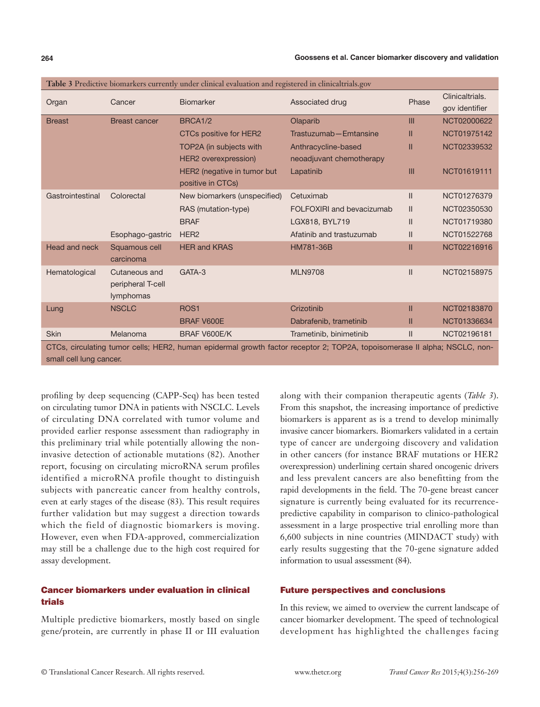|                         |                            | <b>Table 3</b> Predictive biomarkers currently under clinical evaluation and registered in clinicaltrials.gov |                                                                                                                           |               |                                   |
|-------------------------|----------------------------|---------------------------------------------------------------------------------------------------------------|---------------------------------------------------------------------------------------------------------------------------|---------------|-----------------------------------|
| Organ                   | Cancer                     | <b>Biomarker</b>                                                                                              | Associated drug                                                                                                           | Phase         | Clinicaltrials.<br>gov identifier |
| <b>Breast</b>           | <b>Breast cancer</b>       | BRCA1/2                                                                                                       | Olaparib                                                                                                                  | III           | NCT02000622                       |
|                         |                            | CTCs positive for HER2                                                                                        | Trastuzumab - Emtansine                                                                                                   | Ш             | NCT01975142                       |
|                         |                            | TOP2A (in subjects with                                                                                       | Anthracycline-based                                                                                                       | Ш             | NCT02339532                       |
|                         |                            | HER2 overexpression)                                                                                          | neoadjuvant chemotherapy                                                                                                  |               |                                   |
|                         |                            | HER2 (negative in tumor but                                                                                   | Lapatinib                                                                                                                 | III           | NCT01619111                       |
|                         |                            | positive in CTCs)                                                                                             |                                                                                                                           |               |                                   |
| Gastrointestinal        | Colorectal                 | New biomarkers (unspecified)                                                                                  | Cetuximab                                                                                                                 | $\mathbf{II}$ | NCT01276379                       |
|                         |                            | RAS (mutation-type)                                                                                           | FOLFOXIRI and bevacizumab                                                                                                 | $\mathbf{II}$ | NCT02350530                       |
|                         |                            | <b>BRAF</b>                                                                                                   | LGX818, BYL719                                                                                                            | $\mathbf{II}$ | NCT01719380                       |
|                         | Esophago-gastric           | HER <sub>2</sub>                                                                                              | Afatinib and trastuzumab                                                                                                  | $\mathbf{II}$ | NCT01522768                       |
| Head and neck           | Squamous cell<br>carcinoma | <b>HER and KRAS</b>                                                                                           | HM781-36B                                                                                                                 | $\mathbf{II}$ | NCT02216916                       |
| Hematological           | Cutaneous and              | GATA-3                                                                                                        | <b>MLN9708</b>                                                                                                            | $\mathsf{II}$ | NCT02158975                       |
|                         | peripheral T-cell          |                                                                                                               |                                                                                                                           |               |                                   |
|                         | lymphomas                  |                                                                                                               |                                                                                                                           |               |                                   |
| Lung                    | <b>NSCLC</b>               | ROS <sub>1</sub>                                                                                              | Crizotinib                                                                                                                | Ш             | NCT02183870                       |
|                         |                            | <b>BRAF V600E</b>                                                                                             | Dabrafenib, trametinib                                                                                                    | Ш             | NCT01336634                       |
| <b>Skin</b>             | Melanoma                   | BRAF V600E/K                                                                                                  | Trametinib, binimetinib                                                                                                   | $\mathbf{I}$  | NCT02196181                       |
|                         |                            |                                                                                                               | CTCs, circulating tumor cells; HER2, human epidermal growth factor receptor 2; TOP2A, topoisomerase II alpha; NSCLC, non- |               |                                   |
| small cell lung cancer. |                            |                                                                                                               |                                                                                                                           |               |                                   |

| <b>Table 3</b> Predictive biomarkers currently under clinical evaluation and registered in clinicaltrials.gov |  |  |  |  |
|---------------------------------------------------------------------------------------------------------------|--|--|--|--|
|---------------------------------------------------------------------------------------------------------------|--|--|--|--|

profiling by deep sequencing (CAPP-Seq) has been tested on circulating tumor DNA in patients with NSCLC. Levels of circulating DNA correlated with tumor volume and provided earlier response assessment than radiography in this preliminary trial while potentially allowing the noninvasive detection of actionable mutations (82). Another report, focusing on circulating microRNA serum profiles identified a microRNA profile thought to distinguish subjects with pancreatic cancer from healthy controls, even at early stages of the disease (83). This result requires further validation but may suggest a direction towards which the field of diagnostic biomarkers is moving. However, even when FDA-approved, commercialization may still be a challenge due to the high cost required for assay development.

## Cancer biomarkers under evaluation in clinical trials

Multiple predictive biomarkers, mostly based on single gene/protein, are currently in phase II or III evaluation

along with their companion therapeutic agents (*Table 3*). From this snapshot, the increasing importance of predictive biomarkers is apparent as is a trend to develop minimally invasive cancer biomarkers. Biomarkers validated in a certain type of cancer are undergoing discovery and validation in other cancers (for instance BRAF mutations or HER2 overexpression) underlining certain shared oncogenic drivers and less prevalent cancers are also benefitting from the rapid developments in the field. The 70-gene breast cancer signature is currently being evaluated for its recurrencepredictive capability in comparison to clinico-pathological assessment in a large prospective trial enrolling more than 6,600 subjects in nine countries (MINDACT study) with early results suggesting that the 70-gene signature added information to usual assessment (84).

#### Future perspectives and conclusions

In this review, we aimed to overview the current landscape of cancer biomarker development. The speed of technological development has highlighted the challenges facing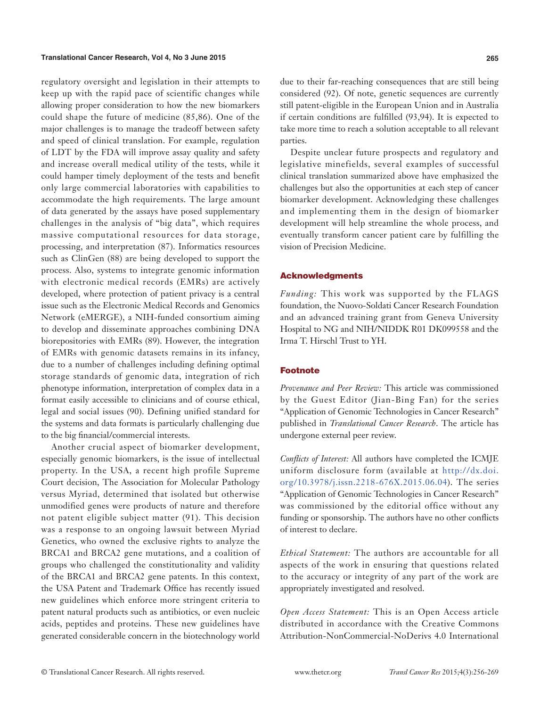regulatory oversight and legislation in their attempts to keep up with the rapid pace of scientific changes while allowing proper consideration to how the new biomarkers could shape the future of medicine (85,86). One of the major challenges is to manage the tradeoff between safety and speed of clinical translation. For example, regulation of LDT by the FDA will improve assay quality and safety and increase overall medical utility of the tests, while it could hamper timely deployment of the tests and benefit only large commercial laboratories with capabilities to accommodate the high requirements. The large amount of data generated by the assays have posed supplementary challenges in the analysis of "big data", which requires massive computational resources for data storage, processing, and interpretation (87). Informatics resources such as ClinGen (88) are being developed to support the process. Also, systems to integrate genomic information with electronic medical records (EMRs) are actively developed, where protection of patient privacy is a central issue such as the Electronic Medical Records and Genomics Network (eMERGE), a NIH-funded consortium aiming to develop and disseminate approaches combining DNA biorepositories with EMRs (89). However, the integration of EMRs with genomic datasets remains in its infancy, due to a number of challenges including defining optimal storage standards of genomic data, integration of rich phenotype information, interpretation of complex data in a format easily accessible to clinicians and of course ethical, legal and social issues (90). Defining unified standard for the systems and data formats is particularly challenging due to the big financial/commercial interests.

Another crucial aspect of biomarker development, especially genomic biomarkers, is the issue of intellectual property. In the USA, a recent high profile Supreme Court decision, The Association for Molecular Pathology versus Myriad, determined that isolated but otherwise unmodified genes were products of nature and therefore not patent eligible subject matter (91). This decision was a response to an ongoing lawsuit between Myriad Genetics, who owned the exclusive rights to analyze the BRCA1 and BRCA2 gene mutations, and a coalition of groups who challenged the constitutionality and validity of the BRCA1 and BRCA2 gene patents. In this context, the USA Patent and Trademark Office has recently issued new guidelines which enforce more stringent criteria to patent natural products such as antibiotics, or even nucleic acids, peptides and proteins. These new guidelines have generated considerable concern in the biotechnology world

due to their far-reaching consequences that are still being considered (92). Of note, genetic sequences are currently still patent-eligible in the European Union and in Australia if certain conditions are fulfilled (93,94). It is expected to take more time to reach a solution acceptable to all relevant parties.

Despite unclear future prospects and regulatory and legislative minefields, several examples of successful clinical translation summarized above have emphasized the challenges but also the opportunities at each step of cancer biomarker development. Acknowledging these challenges and implementing them in the design of biomarker development will help streamline the whole process, and eventually transform cancer patient care by fulfilling the vision of Precision Medicine.

#### Acknowledgments

*Funding:* This work was supported by the FLAGS foundation, the Nuovo-Soldati Cancer Research Foundation and an advanced training grant from Geneva University Hospital to NG and NIH/NIDDK R01 DK099558 and the Irma T. Hirschl Trust to YH.

#### Footnote

*Provenance and Peer Review:* This article was commissioned by the Guest Editor (Jian-Bing Fan) for the series "Application of Genomic Technologies in Cancer Research" published in *Translational Cancer Research*. The article has undergone external peer review.

*Conflicts of Interest:* All authors have completed the ICMJE uniform disclosure form (available at [http://dx.doi.](http://dx.doi.org/10.3978/j.issn.2218-676X.2015.06.04) [org/10.3978/j.issn.2218-676X.2015.06.04](http://dx.doi.org/10.3978/j.issn.2218-676X.2015.06.04)). The series "Application of Genomic Technologies in Cancer Research" was commissioned by the editorial office without any funding or sponsorship. The authors have no other conflicts of interest to declare.

*Ethical Statement:* The authors are accountable for all aspects of the work in ensuring that questions related to the accuracy or integrity of any part of the work are appropriately investigated and resolved.

*Open Access Statement:* This is an Open Access article distributed in accordance with the Creative Commons Attribution-NonCommercial-NoDerivs 4.0 International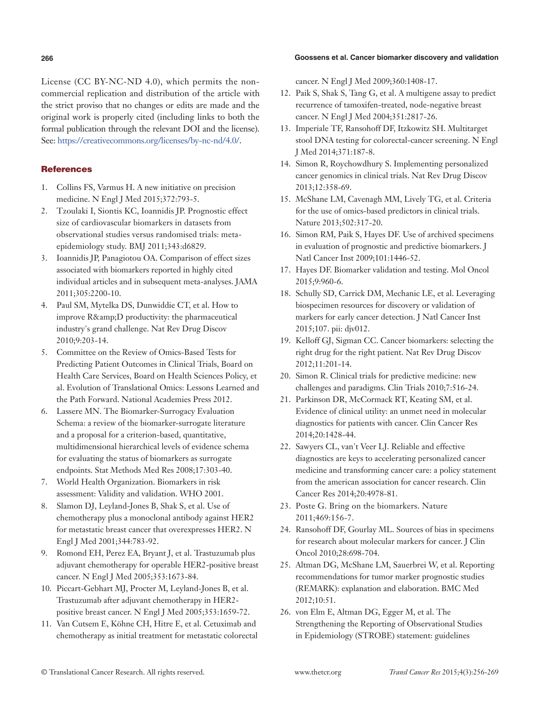#### **266 Goossens et al. Cancer biomarker discovery and validation**

License (CC BY-NC-ND 4.0), which permits the noncommercial replication and distribution of the article with the strict proviso that no changes or edits are made and the original work is properly cited (including links to both the formal publication through the relevant DOI and the license). See: [https://creativecommons.org/licenses/by-nc-nd/4.0/.](https://creativecommons.org/licenses/by-nc-nd/4.0/)

# **References**

- 1. Collins FS, Varmus H. A new initiative on precision medicine. N Engl J Med 2015;372:793-5.
- 2. Tzoulaki I, Siontis KC, Ioannidis JP. Prognostic effect size of cardiovascular biomarkers in datasets from observational studies versus randomised trials: metaepidemiology study. BMJ 2011;343:d6829.
- 3. Ioannidis JP, Panagiotou OA. Comparison of effect sizes associated with biomarkers reported in highly cited individual articles and in subsequent meta-analyses. JAMA 2011;305:2200-10.
- 4. Paul SM, Mytelka DS, Dunwiddie CT, et al. How to improve R&D productivity: the pharmaceutical industry's grand challenge. Nat Rev Drug Discov 2010;9:203-14.
- 5. Committee on the Review of Omics-Based Tests for Predicting Patient Outcomes in Clinical Trials, Board on Health Care Services, Board on Health Sciences Policy, et al. Evolution of Translational Omics: Lessons Learned and the Path Forward. National Academies Press 2012.
- 6. Lassere MN. The Biomarker-Surrogacy Evaluation Schema: a review of the biomarker-surrogate literature and a proposal for a criterion-based, quantitative, multidimensional hierarchical levels of evidence schema for evaluating the status of biomarkers as surrogate endpoints. Stat Methods Med Res 2008;17:303-40.
- 7. World Health Organization. Biomarkers in risk assessment: Validity and validation. WHO 2001.
- 8. Slamon DJ, Leyland-Jones B, Shak S, et al. Use of chemotherapy plus a monoclonal antibody against HER2 for metastatic breast cancer that overexpresses HER2. N Engl J Med 2001;344:783-92.
- 9. Romond EH, Perez EA, Bryant J, et al. Trastuzumab plus adjuvant chemotherapy for operable HER2-positive breast cancer. N Engl J Med 2005;353:1673-84.
- 10. Piccart-Gebhart MJ, Procter M, Leyland-Jones B, et al. Trastuzumab after adjuvant chemotherapy in HER2 positive breast cancer. N Engl J Med 2005;353:1659-72.
- 11. Van Cutsem E, Köhne CH, Hitre E, et al. Cetuximab and chemotherapy as initial treatment for metastatic colorectal

cancer. N Engl J Med 2009;360:1408-17.

- 12. Paik S, Shak S, Tang G, et al. A multigene assay to predict recurrence of tamoxifen-treated, node-negative breast cancer. N Engl J Med 2004;351:2817-26.
- 13. Imperiale TF, Ransohoff DF, Itzkowitz SH. Multitarget stool DNA testing for colorectal-cancer screening. N Engl J Med 2014;371:187-8.
- 14. Simon R, Roychowdhury S. Implementing personalized cancer genomics in clinical trials. Nat Rev Drug Discov 2013;12:358-69.
- 15. McShane LM, Cavenagh MM, Lively TG, et al. Criteria for the use of omics-based predictors in clinical trials. Nature 2013;502:317-20.
- 16. Simon RM, Paik S, Hayes DF. Use of archived specimens in evaluation of prognostic and predictive biomarkers. J Natl Cancer Inst 2009;101:1446-52.
- 17. Hayes DF. Biomarker validation and testing. Mol Oncol 2015;9:960-6.
- 18. Schully SD, Carrick DM, Mechanic LE, et al. Leveraging biospecimen resources for discovery or validation of markers for early cancer detection. J Natl Cancer Inst 2015;107. pii: djv012.
- 19. Kelloff GJ, Sigman CC. Cancer biomarkers: selecting the right drug for the right patient. Nat Rev Drug Discov 2012;11:201-14.
- 20. Simon R. Clinical trials for predictive medicine: new challenges and paradigms. Clin Trials 2010;7:516-24.
- 21. Parkinson DR, McCormack RT, Keating SM, et al. Evidence of clinical utility: an unmet need in molecular diagnostics for patients with cancer. Clin Cancer Res 2014;20:1428-44.
- 22. Sawyers CL, van't Veer LJ. Reliable and effective diagnostics are keys to accelerating personalized cancer medicine and transforming cancer care: a policy statement from the american association for cancer research. Clin Cancer Res 2014;20:4978-81.
- 23. Poste G. Bring on the biomarkers. Nature 2011;469:156-7.
- 24. Ransohoff DF, Gourlay ML. Sources of bias in specimens for research about molecular markers for cancer. J Clin Oncol 2010;28:698-704.
- 25. Altman DG, McShane LM, Sauerbrei W, et al. Reporting recommendations for tumor marker prognostic studies (REMARK): explanation and elaboration. BMC Med 2012;10:51.
- 26. von Elm E, Altman DG, Egger M, et al. The Strengthening the Reporting of Observational Studies in Epidemiology (STROBE) statement: guidelines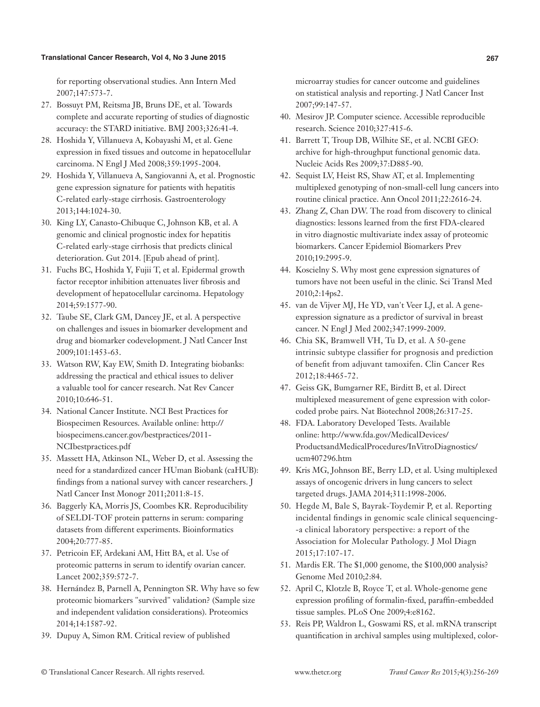for reporting observational studies. Ann Intern Med 2007;147:573-7.

- 27. Bossuyt PM, Reitsma JB, Bruns DE, et al. Towards complete and accurate reporting of studies of diagnostic accuracy: the STARD initiative. BMJ 2003;326:41-4.
- 28. Hoshida Y, Villanueva A, Kobayashi M, et al. Gene expression in fixed tissues and outcome in hepatocellular carcinoma. N Engl J Med 2008;359:1995-2004.
- 29. Hoshida Y, Villanueva A, Sangiovanni A, et al. Prognostic gene expression signature for patients with hepatitis C-related early-stage cirrhosis. Gastroenterology 2013;144:1024-30.
- 30. King LY, Canasto-Chibuque C, Johnson KB, et al. A genomic and clinical prognostic index for hepatitis C-related early-stage cirrhosis that predicts clinical deterioration. Gut 2014. [Epub ahead of print].
- 31. Fuchs BC, Hoshida Y, Fujii T, et al. Epidermal growth factor receptor inhibition attenuates liver fibrosis and development of hepatocellular carcinoma. Hepatology 2014;59:1577-90.
- 32. Taube SE, Clark GM, Dancey JE, et al. A perspective on challenges and issues in biomarker development and drug and biomarker codevelopment. J Natl Cancer Inst 2009;101:1453-63.
- 33. Watson RW, Kay EW, Smith D. Integrating biobanks: addressing the practical and ethical issues to deliver a valuable tool for cancer research. Nat Rev Cancer 2010;10:646-51.
- 34. National Cancer Institute. NCI Best Practices for Biospecimen Resources. Available online: http:// biospecimens.cancer.gov/bestpractices/2011- NCIbestpractices.pdf
- 35. Massett HA, Atkinson NL, Weber D, et al. Assessing the need for a standardized cancer HUman Biobank (caHUB): findings from a national survey with cancer researchers. J Natl Cancer Inst Monogr 2011;2011:8-15.
- 36. Baggerly KA, Morris JS, Coombes KR. Reproducibility of SELDI-TOF protein patterns in serum: comparing datasets from different experiments. Bioinformatics 2004;20:777-85.
- 37. Petricoin EF, Ardekani AM, Hitt BA, et al. Use of proteomic patterns in serum to identify ovarian cancer. Lancet 2002;359:572-7.
- 38. Hernández B, Parnell A, Pennington SR. Why have so few proteomic biomarkers "survived" validation? (Sample size and independent validation considerations). Proteomics 2014;14:1587-92.
- 39. Dupuy A, Simon RM. Critical review of published

microarray studies for cancer outcome and guidelines on statistical analysis and reporting. J Natl Cancer Inst 2007;99:147-57.

- 40. Mesirov JP. Computer science. Accessible reproducible research. Science 2010;327:415-6.
- 41. Barrett T, Troup DB, Wilhite SE, et al. NCBI GEO: archive for high-throughput functional genomic data. Nucleic Acids Res 2009;37:D885-90.
- 42. Sequist LV, Heist RS, Shaw AT, et al. Implementing multiplexed genotyping of non-small-cell lung cancers into routine clinical practice. Ann Oncol 2011;22:2616-24.
- 43. Zhang Z, Chan DW. The road from discovery to clinical diagnostics: lessons learned from the first FDA-cleared in vitro diagnostic multivariate index assay of proteomic biomarkers. Cancer Epidemiol Biomarkers Prev 2010;19:2995-9.
- 44. Koscielny S. Why most gene expression signatures of tumors have not been useful in the clinic. Sci Transl Med 2010;2:14ps2.
- 45. van de Vijver MJ, He YD, van't Veer LJ, et al. A geneexpression signature as a predictor of survival in breast cancer. N Engl J Med 2002;347:1999-2009.
- 46. Chia SK, Bramwell VH, Tu D, et al. A 50-gene intrinsic subtype classifier for prognosis and prediction of benefit from adjuvant tamoxifen. Clin Cancer Res 2012;18:4465-72.
- 47. Geiss GK, Bumgarner RE, Birditt B, et al. Direct multiplexed measurement of gene expression with colorcoded probe pairs. Nat Biotechnol 2008;26:317-25.
- 48. FDA. Laboratory Developed Tests. Available online: http://www.fda.gov/MedicalDevices/ ProductsandMedicalProcedures/InVitroDiagnostics/ ucm407296.htm
- 49. Kris MG, Johnson BE, Berry LD, et al. Using multiplexed assays of oncogenic drivers in lung cancers to select targeted drugs. JAMA 2014;311:1998-2006.
- 50. Hegde M, Bale S, Bayrak-Toydemir P, et al. Reporting incidental findings in genomic scale clinical sequencing- -a clinical laboratory perspective: a report of the Association for Molecular Pathology. J Mol Diagn 2015;17:107-17.
- 51. Mardis ER. The \$1,000 genome, the \$100,000 analysis? Genome Med 2010;2:84.
- 52. April C, Klotzle B, Royce T, et al. Whole-genome gene expression profiling of formalin-fixed, paraffin-embedded tissue samples. PLoS One 2009;4:e8162.
- 53. Reis PP, Waldron L, Goswami RS, et al. mRNA transcript quantification in archival samples using multiplexed, color-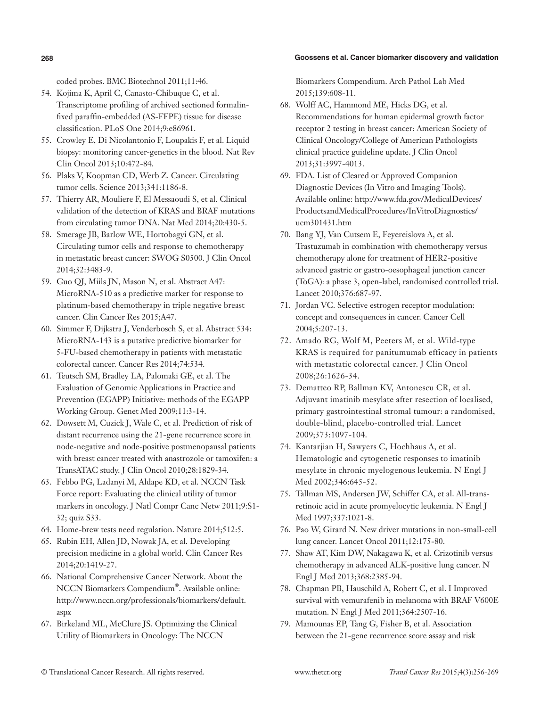#### **268 Goossens et al. Cancer biomarker discovery and validation**

coded probes. BMC Biotechnol 2011;11:46.

- 54. Kojima K, April C, Canasto-Chibuque C, et al. Transcriptome profiling of archived sectioned formalinfixed paraffin-embedded (AS-FFPE) tissue for disease classification. PLoS One 2014;9:e86961.
- 55. Crowley E, Di Nicolantonio F, Loupakis F, et al. Liquid biopsy: monitoring cancer-genetics in the blood. Nat Rev Clin Oncol 2013;10:472-84.
- 56. Plaks V, Koopman CD, Werb Z. Cancer. Circulating tumor cells. Science 2013;341:1186-8.
- 57. Thierry AR, Mouliere F, El Messaoudi S, et al. Clinical validation of the detection of KRAS and BRAF mutations from circulating tumor DNA. Nat Med 2014;20:430-5.
- 58. Smerage JB, Barlow WE, Hortobagyi GN, et al. Circulating tumor cells and response to chemotherapy in metastatic breast cancer: SWOG S0500. J Clin Oncol 2014;32:3483-9.
- 59. Guo QJ, Miils JN, Mason N, et al. Abstract A47: MicroRNA-510 as a predictive marker for response to platinum-based chemotherapy in triple negative breast cancer. Clin Cancer Res 2015;A47.
- 60. Simmer F, Dijkstra J, Venderbosch S, et al. Abstract 534: MicroRNA-143 is a putative predictive biomarker for 5-FU-based chemotherapy in patients with metastatic colorectal cancer. Cancer Res 2014;74:534.
- 61. Teutsch SM, Bradley LA, Palomaki GE, et al. The Evaluation of Genomic Applications in Practice and Prevention (EGAPP) Initiative: methods of the EGAPP Working Group. Genet Med 2009;11:3-14.
- 62. Dowsett M, Cuzick J, Wale C, et al. Prediction of risk of distant recurrence using the 21-gene recurrence score in node-negative and node-positive postmenopausal patients with breast cancer treated with anastrozole or tamoxifen: a TransATAC study. J Clin Oncol 2010;28:1829-34.
- 63. Febbo PG, Ladanyi M, Aldape KD, et al. NCCN Task Force report: Evaluating the clinical utility of tumor markers in oncology. J Natl Compr Canc Netw 2011;9:S1- 32; quiz S33.
- 64. Home-brew tests need regulation. Nature 2014;512:5.
- 65. Rubin EH, Allen JD, Nowak JA, et al. Developing precision medicine in a global world. Clin Cancer Res 2014;20:1419-27.
- 66. National Comprehensive Cancer Network. About the NCCN Biomarkers Compendium®. Available online: http://www.nccn.org/professionals/biomarkers/default. aspx
- 67. Birkeland ML, McClure JS. Optimizing the Clinical Utility of Biomarkers in Oncology: The NCCN

Biomarkers Compendium. Arch Pathol Lab Med 2015;139:608-11.

- 68. Wolff AC, Hammond ME, Hicks DG, et al. Recommendations for human epidermal growth factor receptor 2 testing in breast cancer: American Society of Clinical Oncology/College of American Pathologists clinical practice guideline update. J Clin Oncol 2013;31:3997-4013.
- 69. FDA. List of Cleared or Approved Companion Diagnostic Devices (In Vitro and Imaging Tools). Available online: http://www.fda.gov/MedicalDevices/ ProductsandMedicalProcedures/InVitroDiagnostics/ ucm301431.htm
- 70. Bang YJ, Van Cutsem E, Feyereislova A, et al. Trastuzumab in combination with chemotherapy versus chemotherapy alone for treatment of HER2-positive advanced gastric or gastro-oesophageal junction cancer (ToGA): a phase 3, open-label, randomised controlled trial. Lancet 2010;376:687-97.
- 71. Jordan VC. Selective estrogen receptor modulation: concept and consequences in cancer. Cancer Cell 2004;5:207-13.
- 72. Amado RG, Wolf M, Peeters M, et al. Wild-type KRAS is required for panitumumab efficacy in patients with metastatic colorectal cancer. J Clin Oncol 2008;26:1626-34.
- 73. Dematteo RP, Ballman KV, Antonescu CR, et al. Adjuvant imatinib mesylate after resection of localised, primary gastrointestinal stromal tumour: a randomised, double-blind, placebo-controlled trial. Lancet 2009;373:1097-104.
- 74. Kantarjian H, Sawyers C, Hochhaus A, et al. Hematologic and cytogenetic responses to imatinib mesylate in chronic myelogenous leukemia. N Engl J Med 2002;346:645-52.
- 75. Tallman MS, Andersen JW, Schiffer CA, et al. All-transretinoic acid in acute promyelocytic leukemia. N Engl J Med 1997;337:1021-8.
- 76. Pao W, Girard N. New driver mutations in non-small-cell lung cancer. Lancet Oncol 2011;12:175-80.
- 77. Shaw AT, Kim DW, Nakagawa K, et al. Crizotinib versus chemotherapy in advanced ALK-positive lung cancer. N Engl J Med 2013;368:2385-94.
- 78. Chapman PB, Hauschild A, Robert C, et al. I Improved survival with vemurafenib in melanoma with BRAF V600E mutation. N Engl J Med 2011;364:2507-16.
- 79. Mamounas EP, Tang G, Fisher B, et al. Association between the 21-gene recurrence score assay and risk